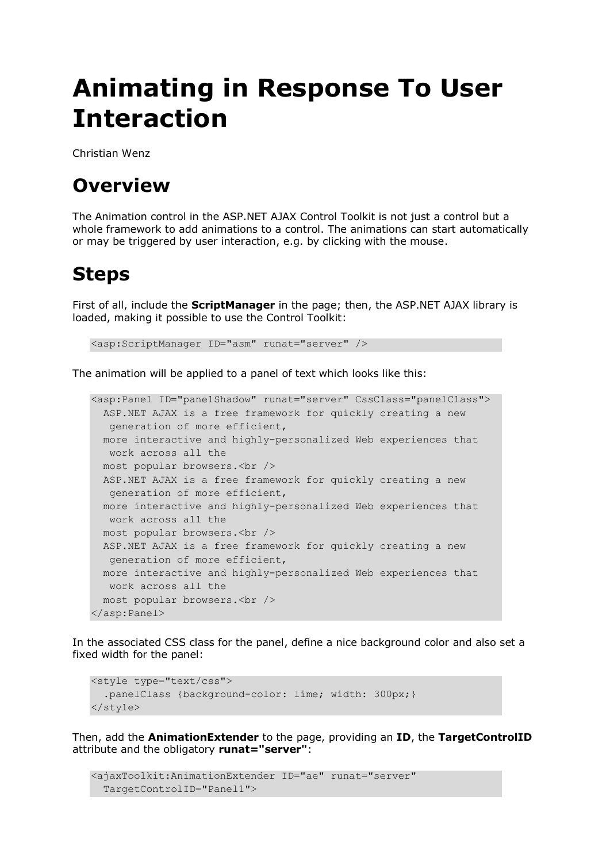## **Animating in Response To User Interaction**

Christian Wenz

## **Overview**

The Animation control in the ASP.NET AJAX Control Toolkit is not just a control but a whole framework to add animations to a control. The animations can start automatically or may be triggered by user interaction, e.g. by clicking with the mouse.

## **Steps**

First of all, include the **ScriptManager** in the page; then, the ASP.NET AJAX library is loaded, making it possible to use the Control Toolkit:

<asp:ScriptManager ID="asm" runat="server" />

The animation will be applied to a panel of text which looks like this:

```
<asp:Panel ID="panelShadow" runat="server" CssClass="panelClass">
  ASP.NET AJAX is a free framework for quickly creating a new 
  generation of more efficient,
  more interactive and highly-personalized Web experiences that 
  work across all the
  most popular browsers.<br />
  ASP.NET AJAX is a free framework for quickly creating a new 
  generation of more efficient,
  more interactive and highly-personalized Web experiences that 
  work across all the
  most popular browsers.<br />
  ASP.NET AJAX is a free framework for quickly creating a new 
  generation of more efficient,
  more interactive and highly-personalized Web experiences that 
  work across all the
  most popular browsers.<br />
</asp:Panel>
```
In the associated CSS class for the panel, define a nice background color and also set a fixed width for the panel:

```
<style type="text/css">
  .panelClass {background-color: lime; width: 300px; }
</style>
```
Then, add the **AnimationExtender** to the page, providing an **ID**, the **TargetControlID** attribute and the obligatory **runat="server"**:

```
<ajaxToolkit:AnimationExtender ID="ae" runat="server"
   TargetControlID="Panel1">
```